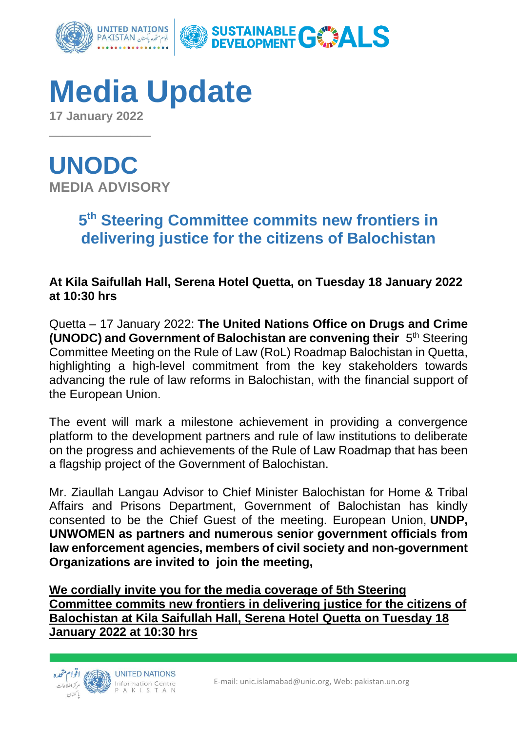

## **Media Update**

**17 January 2022**  $\overline{\phantom{a}}$  , where  $\overline{\phantom{a}}$ 

**UNODC MEDIA ADVISORY**

## **5 th Steering Committee commits new frontiers in delivering justice for the citizens of Balochistan**

**At Kila Saifullah Hall, Serena Hotel Quetta, on Tuesday 18 January 2022 at 10:30 hrs**

Quetta – 17 January 2022: **The United Nations Office on Drugs and Crime (UNODC) and Government of Balochistan are convening their** 5 th Steering Committee Meeting on the Rule of Law (RoL) Roadmap Balochistan in Quetta, highlighting a high-level commitment from the key stakeholders towards advancing the rule of law reforms in Balochistan, with the financial support of the European Union.

The event will mark a milestone achievement in providing a convergence platform to the development partners and rule of law institutions to deliberate on the progress and achievements of the Rule of Law Roadmap that has been a flagship project of the Government of Balochistan.

Mr. Ziaullah Langau Advisor to Chief Minister Balochistan for Home & Tribal Affairs and Prisons Department, Government of Balochistan has kindly consented to be the Chief Guest of the meeting. European Union, **UNDP, UNWOMEN as partners and numerous senior government officials from law enforcement agencies, members of civil society and non-government Organizations are invited to join the meeting,**

**We cordially invite you for the media coverage of 5th Steering Committee commits new frontiers in delivering justice for the citizens of Balochistan at Kila Saifullah Hall, Serena Hotel Quetta on Tuesday 18 January 2022 at 10:30 hrs**